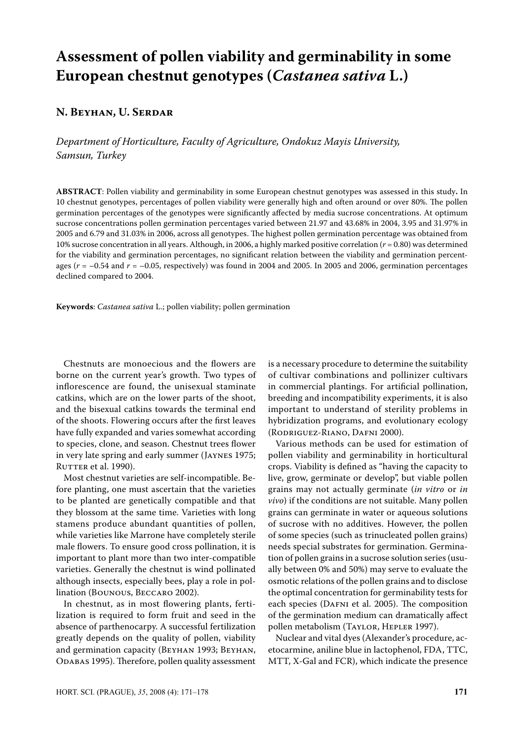# **Assessment of pollen viability and germinability in some European chestnut genotypes (***Castanea sativa* **L.)**

### **N. Beyhan, U. Serdar**

*Department of Horticulture, Faculty of Agriculture, Ondokuz Mayis University, Samsun, Turkey*

**ABSTRACT**: Pollen viability and germinability in some European chestnut genotypes was assessed in this study**.** In 10 chestnut genotypes, percentages of pollen viability were generally high and often around or over 80%. The pollen germination percentages of the genotypes were significantly affected by media sucrose concentrations. At optimum sucrose concentrations pollen germination percentages varied between 21.97 and 43.68% in 2004, 3.95 and 31.97% in 2005 and 6.79 and 31.03% in 2006, across all genotypes. The highest pollen germination percentage was obtained from 10% sucrose concentration in all years. Although, in 2006, a highly marked positive correlation (*r* = 0.80) was determined for the viability and germination percentages, no significant relation between the viability and germination percentages ( $r = -0.54$  and  $r = -0.05$ , respectively) was found in 2004 and 2005. In 2005 and 2006, germination percentages declined compared to 2004.

**Keywords**: *Castanea sativa* L.; pollen viability; pollen germination

Chestnuts are monoecious and the flowers are borne on the current year's growth. Two types of inflorescence are found, the unisexual staminate catkins, which are on the lower parts of the shoot, and the bisexual catkins towards the terminal end of the shoots. Flowering occurs after the first leaves have fully expanded and varies somewhat according to species, clone, and season. Chestnut trees flower in very late spring and early summer (Jaynes 1975; RUTTER et al. 1990).

Most chestnut varieties are self-incompatible. Before planting, one must ascertain that the varieties to be planted are genetically compatible and that they blossom at the same time. Varieties with long stamens produce abundant quantities of pollen, while varieties like Marrone have completely sterile male flowers. To ensure good cross pollination, it is important to plant more than two inter-compatible varieties. Generally the chestnut is wind pollinated although insects, especially bees, play a role in pollination (Bounous, Beccaro 2002).

In chestnut, as in most flowering plants, fertilization is required to form fruit and seed in the absence of parthenocarpy. A successful fertilization greatly depends on the quality of pollen, viability and germination capacity (Beyhan 1993; Beyhan, Odabas 1995). Therefore, pollen quality assessment is a necessary procedure to determine the suitability of cultivar combinations and pollinizer cultivars in commercial plantings. For artificial pollination, breeding and incompatibility experiments, it is also important to understand of sterility problems in hybridization programs, and evolutionary ecology (Rodriguez-Riano, Dafni 2000).

Various methods can be used for estimation of pollen viability and germinability in horticultural crops. Viability is defined as "having the capacity to live, grow, germinate or develop", but viable pollen grains may not actually germinate (*in vitro* or *in vivo*) if the conditions are not suitable. Many pollen grains can germinate in water or aqueous solutions of sucrose with no additives. However, the pollen of some species (such as trinucleated pollen grains) needs special substrates for germination. Germination of pollen grains in a sucrose solution series (usually between 0% and 50%) may serve to evaluate the osmotic relations of the pollen grains and to disclose the optimal concentration for germinability tests for each species (DAFNI et al. 2005). The composition of the germination medium can dramatically affect pollen metabolism (Taylor, Hepler 1997).

Nuclear and vital dyes (Alexander's procedure, acetocarmine, aniline blue in lactophenol, FDA, TTC, MTT, X-Gal and FCR), which indicate the presence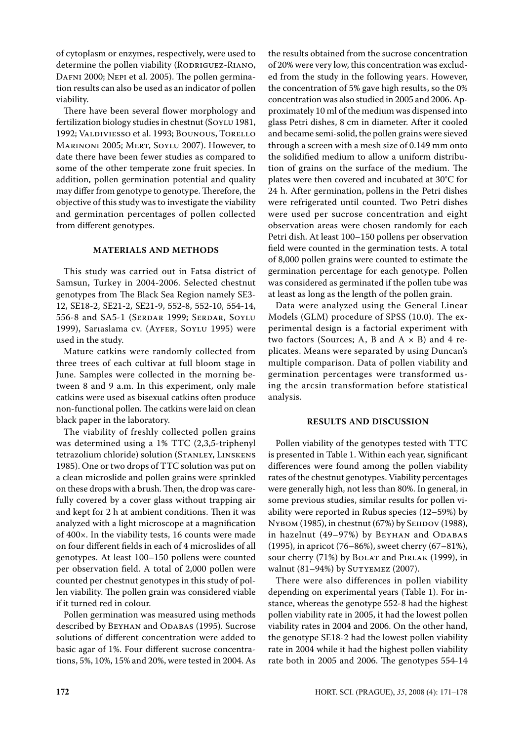of cytoplasm or enzymes, respectively, were used to determine the pollen viability (RODRIGUEZ-RIANO, DAFNI 2000; NEPI et al. 2005). The pollen germination results can also be used as an indicator of pollen viability.

There have been several flower morphology and fertilization biology studies in chestnut (SOYLU 1981, 1992; Valdiviesso et al. 1993; Bounous, Torello Marinoni 2005; Mert, Soylu 2007). However, to date there have been fewer studies as compared to some of the other temperate zone fruit species. In addition, pollen germination potential and quality may differ from genotype to genotype. Therefore, the objective of this study was to investigate the viability and germination percentages of pollen collected from different genotypes.

#### **MATERIALS AND METHODS**

This study was carried out in Fatsa district of Samsun, Turkey in 2004-2006. Selected chestnut genotypes from The Black Sea Region namely SE3- 12, SE18-2, SE21-2, SE21-9, 552-8, 552-10, 554-14, 556-8 and SA5-1 (Serdar 1999; Serdar, Soylu 1999), Sarıaslama cv. (Ayfer, Soylu 1995) were used in the study.

Mature catkins were randomly collected from three trees of each cultivar at full bloom stage in June. Samples were collected in the morning between 8 and 9 a.m. In this experiment, only male catkins were used as bisexual catkins often produce non-functional pollen. The catkins were laid on clean black paper in the laboratory.

The viability of freshly collected pollen grains was determined using a 1% TTC (2,3,5-triphenyl tetrazolium chloride) solution (STANLEY, LINSKENS 1985). One or two drops of TTC solution was put on a clean microslide and pollen grains were sprinkled on these drops with a brush. Then, the drop was carefully covered by a cover glass without trapping air and kept for 2 h at ambient conditions. Then it was analyzed with a light microscope at a magnification of 400×. In the viability tests, 16 counts were made on four different fields in each of 4 microslides of all genotypes. At least 100–150 pollens were counted per observation field. A total of 2,000 pollen were counted per chestnut genotypes in this study of pollen viability. The pollen grain was considered viable if it turned red in colour.

Pollen germination was measured using methods described by BEYHAN and ODABAS (1995). Sucrose solutions of different concentration were added to basic agar of 1%. Four different sucrose concentrations, 5%, 10%, 15% and 20%, were tested in 2004. As

the results obtained from the sucrose concentration of 20% were very low, this concentration was excluded from the study in the following years. However, the concentration of 5% gave high results, so the 0% concentration was also studied in 2005 and 2006. Approximately 10 ml of the medium was dispensed into glass Petri dishes, 8 cm in diameter. After it cooled and became semi-solid, the pollen grains were sieved through a screen with a mesh size of 0.149 mm onto the solidified medium to allow a uniform distribution of grains on the surface of the medium. The plates were then covered and incubated at 30°C for 24 h. After germination, pollens in the Petri dishes were refrigerated until counted. Two Petri dishes were used per sucrose concentration and eight observation areas were chosen randomly for each Petri dish. At least 100–150 pollens per observation field were counted in the germination tests. A total of 8,000 pollen grains were counted to estimate the germination percentage for each genotype. Pollen was considered as germinated if the pollen tube was at least as long as the length of the pollen grain.

Data were analyzed using the General Linear models (GLM) procedure of SPSS (10.0). The experimental design is a factorial experiment with two factors (Sources; A, B and  $A \times B$ ) and 4 replicates. Means were separated by using Duncan's multiple comparison. Data of pollen viability and germination percentages were transformed using the arcsin transformation before statistical analysis.

#### **RESULTS AND DISCUSSION**

Pollen viability of the genotypes tested with TTC is presented in Table 1. Within each year, significant differences were found among the pollen viability rates of the chestnut genotypes. Viability percentages were generally high, not less than 80%. In general, in some previous studies, similar results for pollen viability were reported in Rubus species (12–59%) by NYBOM (1985), in chestnut (67%) by SEIIDOV (1988), in hazelnut (49–97%) by BEYHAN and ODABAS (1995), in apricot (76–86%), sweet cherry (67–81%), sour cherry (71%) by BOLAT and PIRLAK (1999), in walnut (81-94%) by SUTYEMEZ (2007).

There were also differences in pollen viability depending on experimental years (Table 1). For instance, whereas the genotype 552-8 had the highest pollen viability rate in 2005, it had the lowest pollen viability rates in 2004 and 2006. On the other hand, the genotype SE18-2 had the lowest pollen viability rate in 2004 while it had the highest pollen viability rate both in 2005 and 2006. The genotypes 554-14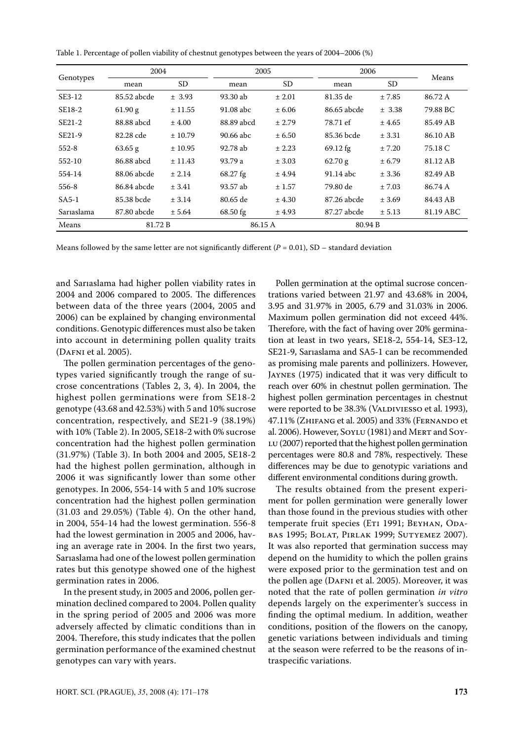Table 1. Percentage of pollen viability of chestnut genotypes between the years of 2004–2006 (%)

|            | 2004        |           | 2005       |        | 2006        |        |           |
|------------|-------------|-----------|------------|--------|-------------|--------|-----------|
| Genotypes  | mean        | <b>SD</b> | mean       | SD     | mean        | SD.    | Means     |
| SE3-12     | 85.52 abcde | ± 3.93    | 93.30 ab   | ± 2.01 | 81.35 de    | ± 7.85 | 86.72 A   |
| SE18-2     | 61.90 g     | ± 11.55   | 91.08 abc  | ± 6.06 | 86.65 abcde | ± 3.38 | 79.88 BC  |
| SE21-2     | 88.88 abcd  | ± 4.00    | 88.89 abcd | ± 2.79 | 78.71 ef    | ± 4.65 | 85.49 AB  |
| SE21-9     | 82.28 cde   | ± 10.79   | 90.66 abc  | ± 6.50 | 85.36 bcde  | ± 3.31 | 86.10 AB  |
| $552-8$    | $63.65$ g   | ± 10.95   | 92.78 ab   | ± 2.23 | $69.12$ fg  | ± 7.20 | 75.18 C   |
| 552-10     | 86.88 abcd  | ± 11.43   | 93.79 a    | ± 3.03 | 62.70 g     | ± 6.79 | 81.12 AB  |
| 554-14     | 88.06 abcde | ± 2.14    | $68.27$ fg | ± 4.94 | 91.14 abc   | ± 3.36 | 82.49 AB  |
| 556-8      | 86.84 abcde | ± 3.41    | 93.57 ab   | ± 1.57 | 79.80 de    | ± 7.03 | 86.74 A   |
| $SA5-1$    | 85.38 bcde  | ± 3.14    | 80.65 de   | ± 4.30 | 87.26 abcde | ± 3.69 | 84.43 AB  |
| Sariaslama | 87.80 abcde | ± 5.64    | $68.50$ fg | ± 4.93 | 87.27 abcde | ± 5.13 | 81.19 ABC |
| Means      | 81.72 B     |           | 86.15 A    |        | 80.94 B     |        |           |

Means followed by the same letter are not significantly different  $(P = 0.01)$ , SD – standard deviation

and Sarıaslama had higher pollen viability rates in 2004 and 2006 compared to 2005. The differences between data of the three years (2004, 2005 and 2006) can be explained by changing environmental conditions. Genotypic differences must also be taken into account in determining pollen quality traits (Dafni et al. 2005).

The pollen germination percentages of the genotypes varied significantly trough the range of sucrose concentrations (Tables 2, 3, 4). In 2004, the highest pollen germinations were from SE18-2 genotype (43.68 and 42.53%) with 5 and 10% sucrose concentration, respectively, and SE21-9 (38.19%) with 10% (Table 2). In 2005, SE18-2 with 0% sucrose concentration had the highest pollen germination (31.97%) (Table 3). In both 2004 and 2005, SE18-2 had the highest pollen germination, although in 2006 it was significantly lower than some other genotypes. In 2006, 554-14 with 5 and 10% sucrose concentration had the highest pollen germination (31.03 and 29.05%) (Table 4). On the other hand, in 2004, 554-14 had the lowest germination. 556-8 had the lowest germination in 2005 and 2006, having an average rate in 2004. In the first two years, Sarıaslama had one of the lowest pollen germination rates but this genotype showed one of the highest germination rates in 2006.

In the present study, in 2005 and 2006, pollen germination declined compared to 2004. Pollen quality in the spring period of 2005 and 2006 was more adversely affected by climatic conditions than in 2004. Therefore, this study indicates that the pollen germination performance of the examined chestnut genotypes can vary with years.

Pollen germination at the optimal sucrose concentrations varied between 21.97 and 43.68% in 2004, 3.95 and 31.97% in 2005, 6.79 and 31.03% in 2006. Maximum pollen germination did not exceed 44%. Therefore, with the fact of having over 20% germination at least in two years, SE18-2, 554-14, SE3-12, SE21-9, Sarıaslama and SA5-1 can be recommended as promising male parents and pollinizers. However, Jaynes (1975) indicated that it was very difficult to reach over 60% in chestnut pollen germination. The highest pollen germination percentages in chestnut were reported to be 38.3% (VALDIVIESSO et al. 1993), 47.11% (Zhifang et al. 2005) and 33% (Fernando et al. 2006). However, SOYLU (1981) and MERT and SOY- $LU$  (2007) reported that the highest pollen germination percentages were 80.8 and 78%, respectively. These differences may be due to genotypic variations and different environmental conditions during growth.

The results obtained from the present experiment for pollen germination were generally lower than those found in the previous studies with other temperate fruit species (ETI 1991; BEYHAN, ODAbas 1995; Bolat, Pirlak 1999; Sutyemez 2007). It was also reported that germination success may depend on the humidity to which the pollen grains were exposed prior to the germination test and on the pollen age (DAFNI et al. 2005). Moreover, it was noted that the rate of pollen germination *in vitro*  depends largely on the experimenter's success in finding the optimal medium. In addition, weather conditions, position of the flowers on the canopy, genetic variations between individuals and timing at the season were referred to be the reasons of intraspecific variations.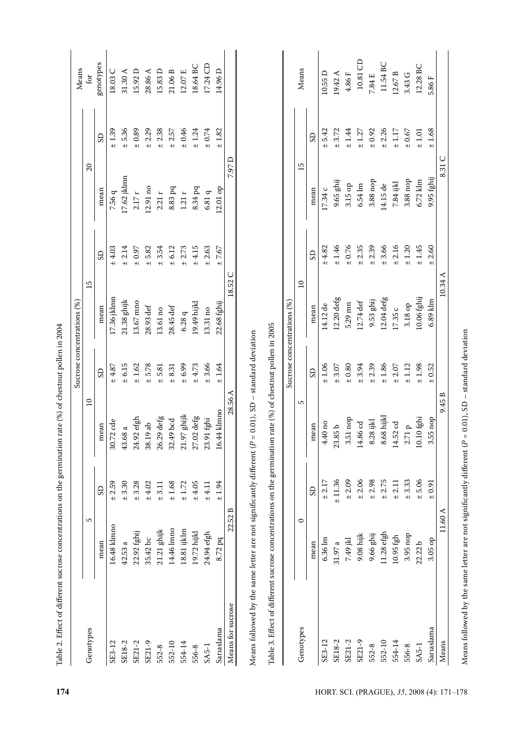| ± 2.59<br>± 3.30<br>± 3.28<br>G<br>5<br>16.48 klmno<br>22.92 fghij<br>42.53 a<br>mean<br>Genotypes<br>SE18-2<br>SE21-2<br>SE3-12 |            | $\Xi$       |          | $\frac{15}{2}$ |        |                 |            | Means     |
|----------------------------------------------------------------------------------------------------------------------------------|------------|-------------|----------|----------------|--------|-----------------|------------|-----------|
|                                                                                                                                  |            |             |          |                |        | $\overline{20}$ |            | for       |
|                                                                                                                                  |            | mean        | GS       | mean           | SD     | mean            | SD         | genotypes |
|                                                                                                                                  |            | 30.72 cde   | ± 4.87   | 17.36 jklmn    | ± 4.03 | 7.56 q          | ±1.39      | 18.03 C   |
|                                                                                                                                  |            | 43.68 a     | ± 6.15   | $21.38$ ghijk  | ± 2.14 | .7.62 jklmn     | ± 5.36     | 31.30 A   |
|                                                                                                                                  |            | 24.92 efgh  | ±1.62    | 13.67 mno      | ± 0.97 | $2.17r$         | $\pm 0.89$ | 15.92 D   |
| ± 4.02<br>35.42 bc<br>SE21-9                                                                                                     |            | 38.19 ab    | ± 5.78   | 28.93 def      | ± 5.82 | 12.91 no        | ± 2.29     | 28.86 A   |
| ± 3.11<br>$21.21$ ghijk<br>552-8                                                                                                 |            | 26.29 defg  | ± 5.81   | 13.61 no       | ± 3.54 | 2.21r           | ± 2.38     | 15.83 D   |
| ±1.68<br>14.46 Imno<br>552-10                                                                                                    |            | 32.49 bcd   | ± 8.31   | 28.45 def      | ± 6.12 | 8.83 pq         | ± 2.57     | 21.06 B   |
| ± 1.72<br>18.81 ijklm<br>554-14                                                                                                  |            | 21.97 ghijk | $6.99 +$ | 6.28q          | ± 2.73 | 1.21r           | 0.46       | 12.07 E   |
| ± 4.05<br>19.72 hijkl<br>556-8                                                                                                   |            | 27.02 defg  | ± 4.73   | 19.49 hijkl    | ± 4.15 | 8.34 pq         | $\pm$ 1.24 | 18.64 BC  |
| ±4.11<br>24.94 efgh<br>SA5-1                                                                                                     |            | 23.91 fghi  | ± 3.66   | 13.31 no       | ± 2.63 | 6.81 q          | $\pm$ 0.74 | 17.24 CD  |
| ±1.94<br>8.72 pq<br>Sarıaslama                                                                                                   | <u>ٰمٰ</u> | .44 klmno   | ±1.64    | 22.68 fghij    | ± 7.67 | 12.01 op        | ±1.82      | 14.96 D   |
| 22.52B<br>Means for sucrose                                                                                                      |            | 28.56 A     |          | 18.52 C        |        | 7.97 D          |            |           |

| Genotypes         |               |                   |                 | Sucrose concentrations (%) |                               |              |                     |              | Means              |
|-------------------|---------------|-------------------|-----------------|----------------------------|-------------------------------|--------------|---------------------|--------------|--------------------|
|                   | S             |                   | $\overline{10}$ |                            | $\overline{15}$               |              | $\Omega$            |              | tor                |
|                   | mean          | GS                | mean            | SD                         | mean                          | SD           | mean                | GS           | genotypes          |
| SE3-12            | 16.48 klmno   | ± 2.59            | 30.72 cde       | ±4.87                      | 17.36 jklmn                   | ± 4.03       | 7.56 q              | ±1.39        | 18.03 C            |
| SE18-2            | 42.53 a       | 3.30<br>$+1$      | 43.68 a         | $\pm 6.15$                 | $21.38$ ghijk                 | 2.14<br>$+1$ | 17.62 jklmn         | ± 5.36       | 31.30 A            |
| SE21-2            | 22.92 fghij   | 3.28<br>$+1$      | 24.92 efgh      | $\pm$ 1.62                 | 13.67 mno                     | ± 0.97       | $2.17r$             | $\pm 0.89$   | $15.92$ D          |
| SE21-9            | 35.42 bc      | $\pm$ 4.02        | 38.19 ab        | 5.78<br>$+1$               | 28.93 def                     | 5.82<br>$+1$ | 12.91 no            | ± 2.29       | 28.86 A            |
| 552-8             | $21.21$ ghijk | $\pm$ 3.11        | 26.29 defg      | 5.81<br>$\pm$              | 13.61 no                      | 3.54<br>$+1$ | 2.21r               | ± 2.38       | 15.83 D            |
| 552-10            | 14.46 Imno    | $\pm$ 1.68        | 32.49 bcd       | 8.31<br>$\pm$              | 28.45 def                     | $\pm 6.12$   | 8.83 pq             | $\pm$ 2.57   | 21.06 B            |
| 554-14            | 18.81 ijklm   | ± 1.72            | $21.97$ ghijk   | 6.99<br>$+1$               | 6.28q                         | ± 2.73       | 1.21r               | 0.46         | $12.07 E$          |
| 556-8             | 19.72 hijkl   | $\pm$ 4.05        | 27.02 defg      | 4.73<br>$+1$               | 19.49 hijkl                   | ± 4.15       | 8.34 pq             | $\pm$ 1.24   | 18.64 BC           |
| SA5-1             | 24.94 efgh    | $\pm 4.11$        | 23.91 fghi      | ± 3.66                     | 13.31 no                      | ± 2.63       | $6.81\,\mathrm{q}$  | $\pm$ 0.74   | 17.24 CD           |
| Sarıaslama        | 8.72 pq       | $\pm$ 1.94        | 16.44 klmno     | 1.64<br>$+1$               | 22.68 fghij                   | 7.67<br>$+1$ | $12.01$ op          | 1.82<br>$+1$ | 14.96 D            |
| Means for sucrose | 22.52         | $\mathbf{\Omega}$ | 28.56           | ⋖                          | 18.52                         | ◡            | 7.97 D              |              |                    |
|                   |               |                   |                 |                            | Sucrose concentrations $(\%)$ |              | 15                  |              |                    |
| Genotypes         | $\circ$       |                   | 5               |                            | $\Omega$                      |              |                     |              | Means              |
|                   | mean          | GS                | mean            | GS                         | mean                          | S            | mean                | SD           |                    |
| SE3-12            | 6.36 lm       | $\pm 2.17$        | 1.40 no<br>P    | $\pm$ 1.06                 | 14.12 de                      | ±4.82        | 17.34 c             | 5.42<br>$+1$ | 10.55 <sub>D</sub> |
| SE18-2            | 31.97 a       | ± 11.36           | 23.85 b         | 3.07<br>$+1$               | $12.20 \text{ defg}$          | ±1.46        | 9.65 ghij           | 3.72<br>$+1$ | 19.42A             |
| SE21-2            | 7.49 jkl      | $\pm 2.09$        | 3.51 nop        | $\pm$ 0.80                 | 5.29 mn                       | $\pm 0.76$   | 3.15 ор             | ±1.44        | $4.86\,\mathrm{F}$ |
| SE21-9            | $9.08$ hijk   | $\pm 2.06$        | 14.86 cd        | 3.94<br>$+1$               | 12.74 def                     | ± 2.35       | $6.54\,\mathrm{lm}$ | $\pm$ 1.27   | 10.81 CD           |
| 552-8             | 9.66 ghij     | $\pm 2.98$        | 8.28 ijkl       | 2.39<br>$+1$               | 9.53 ghij                     | 2.39<br>$+1$ | 3.88 nop            | $\pm 0.92$   | $7.84 E$           |
| 552-10            | 11.28 efgh    | ± 2.75            | 8.68 hijkl      | $\pm~1.86$                 | 12.04 defg                    | 3.66<br>$+1$ | 14.15 de            | ± 2.26       | 11.54 BC           |
| 554-14            | $10.95$ fgh   | $\pm$ 2.11        | 14.52 cd        | $\pm$ 2.07                 | 17.35 c                       | ± 2.16       | 7.84 ijkl           | $\pm$ 1.17   | 12.67B             |
| 556-8             | 3.95 nop      | $\pm$ 3.33        | 2.71p           | $\pm$ 1.12                 | 3.18 ор                       | $\pm$ 1.20   | 3.88 nop            | $\pm$ 0.67   | 3.43 G             |
| $SAS-1$           | 22.22 b       | ± 5.06            | 10.10 fghi      | $\pm$ 1.98                 | 10.06 fghij                   | $\pm$ 1.45   | 6.72 klm            | $\pm$ 1.01   | 12.28 BC           |
| Sarıaslama        | 3.05 ор       | $\pm$ 0.91        | 3.55 nop        | ± 0.52                     | 6.89 klm                      | 2.60<br>$+1$ | 9.95 fghij          | 1.68<br>$+1$ | 5.86 F             |
| Means             | 11.60A        |                   | 9.45B           |                            | 10.34A                        |              | 8.31 C              |              |                    |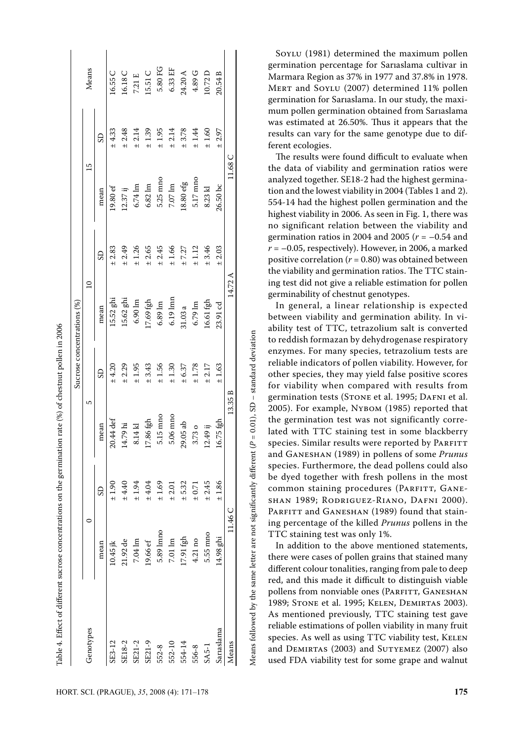| ֖֖֧֖֖֧֪֪ׅ֚֚֚֚֚֚֚֚֚֚֚֚֚֚֚֚֚֚֚֚֚֚֚֚֚֡֝֝֝֝֝֝<br>$\frac{1}{2}$                                                                                                                                                                    |
|-------------------------------------------------------------------------------------------------------------------------------------------------------------------------------------------------------------------------------|
| ı                                                                                                                                                                                                                             |
| .<br>.<br>į                                                                                                                                                                                                                   |
|                                                                                                                                                                                                                               |
|                                                                                                                                                                                                                               |
|                                                                                                                                                                                                                               |
|                                                                                                                                                                                                                               |
|                                                                                                                                                                                                                               |
| the second concerned to a contract the concerned to the concerned to the concerned to the concerned to the concerned to the concerned to the concerned to the concerned to the concerned to the concerned to the concerned to |
|                                                                                                                                                                                                                               |
| ξ                                                                                                                                                                                                                             |
| i<br>I                                                                                                                                                                                                                        |
| i<br>d<br>ì                                                                                                                                                                                                                   |

| ± 4.33<br>2.14<br>$\pm$ 1.95<br>$\pm 2.14$<br>2.97<br>2.48<br>$\pm$ 1.39<br>$\pm$ 3.78<br>$\pm$ 1.44<br>$\pm$ 1.60<br>GS<br>$+$<br>$+1$<br>$\cup$<br>11.68<br>15<br>5.25 mno<br>5.17 mno<br>$18.80\ \mathrm{efg}$<br>$7.07\,\mathrm{lm}$<br>$6.82\,\mathrm{lm}$<br>$6.74\,\mathrm{lm}$<br>26.50 bc<br>19.80 ef<br>$8.23$ kl<br>$12.37$ ij<br>mean<br>1.26<br>2.65<br>$\pm$ 2.45<br>$\pm$ 1.66<br>3.46<br>2.03<br>2.83<br>2.49<br>± 1.12<br>$\pm$ 7.27<br>$\Omega$<br>$+1$<br>$+1$<br>$+1$<br>$+1$<br>$+$<br>⋖<br>14.72.<br>$\Omega$<br>6.19 lmn<br>15.62 ghi<br>15.52 ghi<br>$17.69$ fgh $6.89$ lm<br>$6.90\,\mathrm{lm}$<br>$16.61$ fgh<br>$6.79 \,\mathrm{lm}$<br>23.91 cd<br>31.03a<br>mean<br>2.29<br>1.95<br>3.43<br>1.56<br>$\pm$ 1.30<br>4.20<br>1.78<br>1.63<br>6.37<br>2.17<br>GS<br>$+1$<br>$+1$<br>$+1$<br>$+1$<br>$+1$<br>$+1$<br>$+$<br>$+1$<br>$+1$<br>m<br>13.35<br>S<br>$5.15$ mno $5.06$ mno<br>$17.86~\mathrm{fgh}$<br>20.44 def<br>16.75 fgh<br>$29.05\ \mathrm{ab}$<br>14.79 hi<br>$8.14\,\mathrm{kl}$<br>mean<br>$3.73$ o<br>12.49 ij<br>$\pm$ 1.90<br>$\pm$ 4.40<br>$\pm 1.94$<br>2.45<br>1.86<br>4.04<br>$\pm$ 1.69<br>5.32<br>2.01<br>$\pm$ 0.71<br>G<br>$+1$<br>$+1$<br>$+1$<br>$+1$<br>$+1$<br>◡<br>11.46<br>$\circ$<br>5.89 lmno<br>5.55 mno<br>17.91 fgh<br>14.98 ghi<br>$7.01\ \mathrm{lm}$<br>4.21 no<br>21.92 de<br>$7.04\ \mathrm{lm}$<br>$19.66\,\mathrm{e}\mathrm{f}$<br>10.45 jk<br>mean | Genotypes | SE3-12 | SE18-2 | $SE21-2$ | SE21-9 | 552-8 | 552-10 | 554-14 | 556-8 | $SAS-1$ | Sarıaslama | Means |
|-----------------------------------------------------------------------------------------------------------------------------------------------------------------------------------------------------------------------------------------------------------------------------------------------------------------------------------------------------------------------------------------------------------------------------------------------------------------------------------------------------------------------------------------------------------------------------------------------------------------------------------------------------------------------------------------------------------------------------------------------------------------------------------------------------------------------------------------------------------------------------------------------------------------------------------------------------------------------------------------------------------------------------------------------------------------------------------------------------------------------------------------------------------------------------------------------------------------------------------------------------------------------------------------------------------------------------------------------------------------------------------------------------------------------------|-----------|--------|--------|----------|--------|-------|--------|--------|-------|---------|------------|-------|
| Sucrose concentrations (%)                                                                                                                                                                                                                                                                                                                                                                                                                                                                                                                                                                                                                                                                                                                                                                                                                                                                                                                                                                                                                                                                                                                                                                                                                                                                                                                                                                                                  |           |        |        |          |        |       |        |        |       |         |            |       |
|                                                                                                                                                                                                                                                                                                                                                                                                                                                                                                                                                                                                                                                                                                                                                                                                                                                                                                                                                                                                                                                                                                                                                                                                                                                                                                                                                                                                                             |           |        |        |          |        |       |        |        |       |         |            |       |
|                                                                                                                                                                                                                                                                                                                                                                                                                                                                                                                                                                                                                                                                                                                                                                                                                                                                                                                                                                                                                                                                                                                                                                                                                                                                                                                                                                                                                             |           |        |        |          |        |       |        |        |       |         |            |       |
|                                                                                                                                                                                                                                                                                                                                                                                                                                                                                                                                                                                                                                                                                                                                                                                                                                                                                                                                                                                                                                                                                                                                                                                                                                                                                                                                                                                                                             |           |        |        |          |        |       |        |        |       |         |            |       |
|                                                                                                                                                                                                                                                                                                                                                                                                                                                                                                                                                                                                                                                                                                                                                                                                                                                                                                                                                                                                                                                                                                                                                                                                                                                                                                                                                                                                                             |           |        |        |          |        |       |        |        |       |         |            |       |
|                                                                                                                                                                                                                                                                                                                                                                                                                                                                                                                                                                                                                                                                                                                                                                                                                                                                                                                                                                                                                                                                                                                                                                                                                                                                                                                                                                                                                             |           |        |        |          |        |       |        |        |       |         |            |       |
|                                                                                                                                                                                                                                                                                                                                                                                                                                                                                                                                                                                                                                                                                                                                                                                                                                                                                                                                                                                                                                                                                                                                                                                                                                                                                                                                                                                                                             |           |        |        |          |        |       |        |        |       |         |            |       |
|                                                                                                                                                                                                                                                                                                                                                                                                                                                                                                                                                                                                                                                                                                                                                                                                                                                                                                                                                                                                                                                                                                                                                                                                                                                                                                                                                                                                                             |           |        |        |          |        |       |        |        |       |         |            |       |

 $\overline{1}$ 

SOYLU (1981) determined the maximum pollen germination percentage for Sarıaslama cultivar in Marmara Region as 37% in 1977 and 37.8% in 1978. Mert and Soylu (2007) determined 11% pollen germination for Sarıaslama. In our study, the maximum pollen germination obtained from Sarıaslama was estimated at 26.50%. Thus it appears that the results can vary for the same genotype due to different ecologies.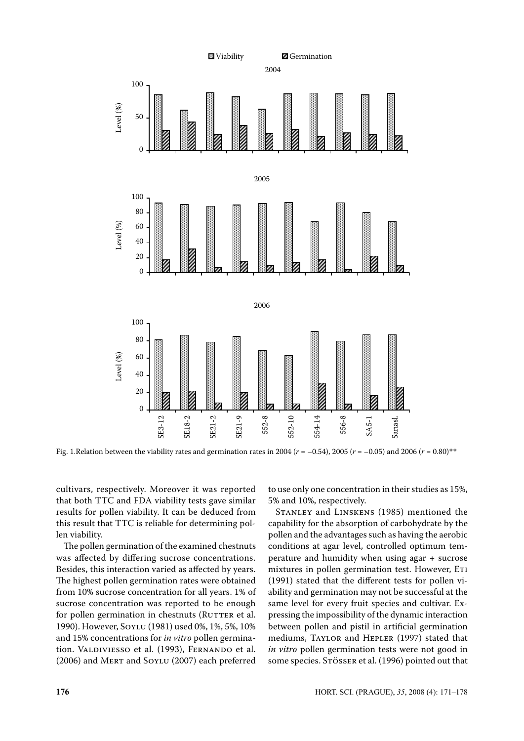

Fig. 1.Relation between the viability rates and germination rates in 2004 ( $r = -0.54$ ), 2005 ( $r = -0.05$ ) and 2006 ( $r = 0.80$ )\*\*

cultivars, respectively. Moreover it was reported that both TTC and FDA viability tests gave similar results for pollen viability. It can be deduced from this result that TTC is reliable for determining pollen viability.

The pollen germination of the examined chestnuts was affected by differing sucrose concentrations. Besides, this interaction varied as affected by years. The highest pollen germination rates were obtained from 10% sucrose concentration for all years. 1% of sucrose concentration was reported to be enough for pollen germination in chestnuts (RUTTER et al. 1990). However, Soylu (1981) used 0%, 1%, 5%, 10% and 15% concentrations for *in vitro* pollen germination. VALDIVIESSO et al. (1993), FERNANDO et al. (2006) and Mert and Soylu (2007) each preferred

to use only one concentration in their studies as 15%, 5% and 10%, respectively.

Stanley and Linskens (1985) mentioned the capability for the absorption of carbohydrate by the pollen and the advantages such as having the aerobic conditions at agar level, controlled optimum temperature and humidity when using agar + sucrose mixtures in pollen germination test. However, ETI (1991) stated that the different tests for pollen viability and germination may not be successful at the same level for every fruit species and cultivar. Expressing the impossibility of the dynamic interaction between pollen and pistil in artificial germination mediums, Taylor and Hepler (1997) stated that *in vitro* pollen germination tests were not good in some species. STÖSSER et al. (1996) pointed out that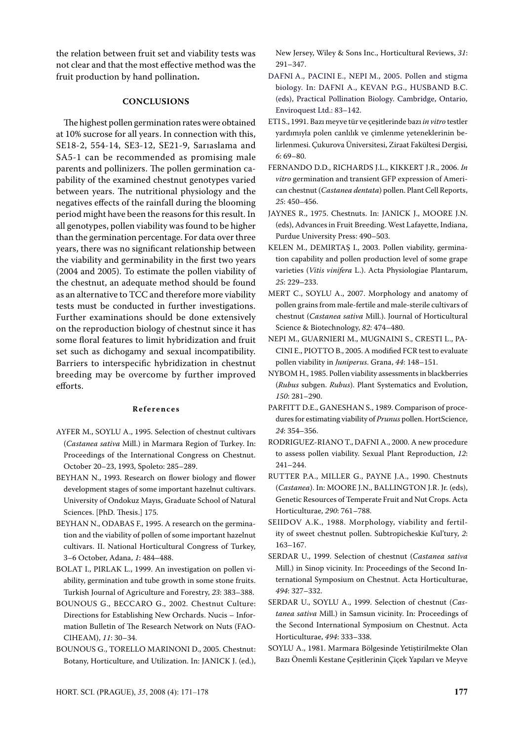the relation between fruit set and viability tests was not clear and that the most effective method was the fruit production by hand pollination**.**

#### **CONCLUSIONS**

The highest pollen germination rates were obtained at 10% sucrose for all years. In connection with this, SE18-2, 554-14, SE3-12, SE21-9, Sarıaslama and SA5-1 can be recommended as promising male parents and pollinizers. The pollen germination capability of the examined chestnut genotypes varied between years. The nutritional physiology and the negatives effects of the rainfall during the blooming period might have been the reasons for this result. In all genotypes, pollen viability was found to be higher than the germination percentage. For data over three years, there was no significant relationship between the viability and germinability in the first two years (2004 and 2005). To estimate the pollen viability of the chestnut, an adequate method should be found as an alternative to TCC and therefore more viability tests must be conducted in further investigations. Further examinations should be done extensively on the reproduction biology of chestnut since it has some floral features to limit hybridization and fruit set such as dichogamy and sexual incompatibility. Barriers to interspecific hybridization in chestnut breeding may be overcome by further improved efforts.

#### **R e f e r e n c e s**

- AYFER M., SOYLU A., 1995. Selection of chestnut cultivars (*Castanea sativa* Mill.) in Marmara Region of Turkey. In: Proceedings of the International Congress on Chestnut. October 20–23, 1993, Spoleto: 285–289.
- BEYHAN N., 1993. Research on flower biology and flower development stages of some important hazelnut cultivars. University of Ondokuz Mayıs, Graduate School of Natural Sciences. [PhD. Thesis.] 175.
- BEYHAN N., ODABAS F., 1995. A research on the germination and the viability of pollen of some important hazelnut cultivars. II. National Horticultural Congress of Turkey, 3–6 October, Adana, *1*: 484–488.
- BOLAT I., PIRLAK L., 1999. An investigation on pollen viability, germination and tube growth in some stone fruits. Turkish Journal of Agriculture and Forestry, *23*: 383–388.
- BOUNOUS G., BECCARO G., 2002. Chestnut Culture: Directions for Establishing New Orchards. Nucis – Information Bulletin of The Research Network on Nuts (FAO-CIHEAM), *11*: 30–34.
- BOUNOUS G., TORELLO MARINONI D., 2005. Chestnut: Botany, Horticulture, and Utilization. In: JANICK J. (ed.),

New Jersey, Wiley & Sons Inc., Horticultural Reviews, *31*: 291–347.

- DAFNI A., PACINI E., NEPI M., 2005. Pollen and stigma biology. In: DAFNI A., KEVAN P.G., HUSBAND B.C. (eds), Practical Pollination Biology. Cambridge, Ontario, Enviroquest Ltd.: 83–142.
- ETI S., 1991. Bazı meyve tür ve çeşitlerinde bazı *in vitro* testler yardımıyla polen canlılık ve çimlenme yeteneklerinin belirlenmesi. Çukurova Üniversitesi, Ziraat Fakültesi Dergisi, *6*: 69–80.
- FERNANDO D.D., RICHARDS J.L., KIKKERT J.R., 2006. *In vitro* germination and transient GFP expression of American chestnut (*Castanea dentata*) pollen. Plant Cell Reports, *25*: 450–456.
- JAYNES R., 1975. Chestnuts. In: Janick J., Moore J.N. (eds), Advances in Fruit Breeding. West Lafayette, Indiana, Purdue University Press: 490–503.
- KELEN M., DEMIRTAŞ I., 2003. Pollen viability, germination capability and pollen production level of some grape varieties (*Vitis vinifera* L.). Acta Physiologiae Plantarum, *25*: 229–233.
- MERT C., SOYLU A., 2007. Morphology and anatomy of pollen grains from male-fertile and male-sterile cultivars of chestnut (*Castanea sativa* Mill.). Journal of Horticultural Science & Biotechnology, *82*: 474–480.
- NEPI M., GUARNIERI M., MUGNAINI S., CRESTI L., PA-CINI E., PIOTTO B., 2005. A modified FCR test to evaluate pollen viability in *Juniperus*. Grana, *44*: 148–151.
- NYBOM H., 1985. Pollen viability assessments in blackberries (*Rubus* subgen. *Rubus*). Plant Systematics and Evolution, *150*: 281–290.
- PARFITT D.E., GANESHAN S., 1989. Comparison of procedures for estimating viability of *Prunus* pollen. HortScience, *24*: 354–356.
- RODRIGUEZ-RIANO T., DAFNI A., 2000. A new procedure to assess pollen viability. Sexual Plant Reproduction, *12*: 241–244.
- RUTTER P.A., MILLER G., PAYNE J.A., 1990. Chestnuts (*Castanea*). In: MOORE J.N., BALLINGTON J.R. Jr. (eds), Genetic Resources of Temperate Fruit and Nut Crops. Acta Horticulturae, *290*: 761–788.
- SEIIDOV A.K., 1988. Morphology, viability and fertility of sweet chestnut pollen. Subtropicheskie kul'tury, *2*: 163–167.
- SERDAR U., 1999. Selection of chestnut (*Castanea sativa* Mill.) in Sinop vicinity. In: Proceedings of the Second International Symposium on Chestnut. Acta Horticulturae, *494*: 327–332.
- SERDAR U., SOYLU A., 1999. Selection of chestnut (*Castanea sativa* Mill.) in Samsun vicinity. In: Proceedings of the Second International Symposium on Chestnut. Acta Horticulturae, *494*: 333–338.
- SOYLU A., 1981. Marmara Bölgesinde Yetiștirilmekte Olan Bazı Önemli Kestane Çeșitlerinin Çiçek Yapıları ve Meyve